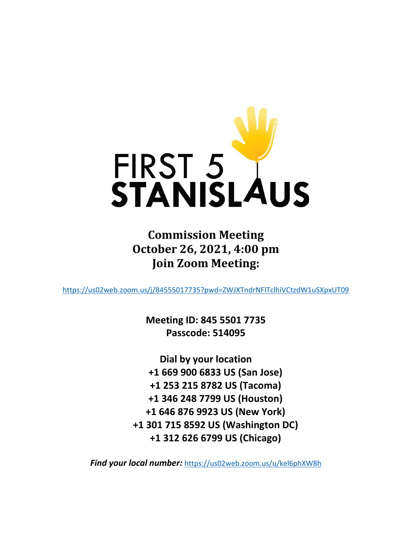

**Commission Meeting October 26, 2021, 4:00 pm Join Zoom Meeting:**

<https://us02web.zoom.us/j/84555017735?pwd=ZWJXTndrNFlTclhiVCtzdW1uSXpxUT09>

**Meeting ID: 845 5501 7735 Passcode: 514095**

**Dial by your location +1 669 900 6833 US (San Jose) +1 253 215 8782 US (Tacoma) +1 346 248 7799 US (Houston) +1 646 876 9923 US (New York) +1 301 715 8592 US (Washington DC) +1 312 626 6799 US (Chicago)**

*Find your local number:* <https://us02web.zoom.us/u/kel6phXW8h>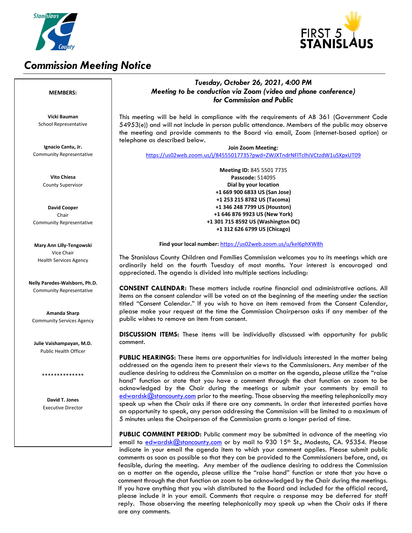

## *Commission Meeting Notice*



### *Tuesday, October 26, 2021, 4:00 PM Meeting to be conduction via Zoom (video and phone conference) for Commission and Public*

This meeting will be held in compliance with the requirements of AB 361 (Government Code 54953(e)) and will not include in person public attendance. Members of the public may observe the meeting and provide comments to the Board via email, Zoom (internet-based option) or telephone as described below.

**Join Zoom Meeting:** <https://us02web.zoom.us/j/84555017735?pwd=ZWJXTndrNFlTclhiVCtzdW1uSXpxUT09>

> **Meeting ID:** 845 5501 7735 **Passcode:** 514095 **Dial by your location +1 669 900 6833 US (San Jose) +1 253 215 8782 US (Tacoma) +1 346 248 7799 US (Houston) +1 646 876 9923 US (New York) +1 301 715 8592 US (Washington DC) +1 312 626 6799 US (Chicago)**

**Find your local number:** [https://us02web.zoom.us/u/kel6phXW8h](https://us02web.zoom.us/u/kel6phXW8h:)

The Stanislaus County Children and Families Commission welcomes you to its meetings which are ordinarily held on the fourth Tuesday of most months. Your interest is encouraged and appreciated. The agenda is divided into multiple sections including:

**CONSENT CALENDAR:** These matters include routine financial and administrative actions. All items on the consent calendar will be voted on at the beginning of the meeting under the section titled "Consent Calendar." If you wish to have an item removed from the Consent Calendar, please make your request at the time the Commission Chairperson asks if any member of the public wishes to remove an item from consent.

**DISCUSSION ITEMS:** These items will be individually discussed with opportunity for public comment.

**PUBLIC HEARINGS:** These items are opportunities for individuals interested in the matter being addressed on the agenda item to present their views to the Commissioners. Any member of the audience desiring to address the Commission on a matter on the agenda, please utilize the "raise hand" function or state that you have a comment through the chat function on zoom to be acknowledged by the Chair during the meetings or submit your comments by email to [edwardsk@stancounty.com](mailto:edwardsk@stancounty.com) prior to the meeting. Those observing the meeting telephonically may speak up when the Chair asks if there are any comments. In order that interested parties have an opportunity to speak, any person addressing the Commission will be limited to a maximum of 5 minutes unless the Chairperson of the Commission grants a longer period of time.

**PUBLIC COMMENT PERIOD:** Public comment may be submitted in advance of the meeting via email to edwardsk $@$ stancounty.com or by mail to 930 15<sup>th</sup> St., Modesto, CA. 95354. Please indicate in your email the agenda item to which your comment applies. Please submit public comments as soon as possible so that they can be provided to the Commissioners before, and, as feasible, during the meeting. Any member of the audience desiring to address the Commission on a matter on the agenda, please utilize the "raise hand" function or state that you have a comment through the chat function on zoom to be acknowledged by the Chair during the meetings. If you have anything that you wish distributed to the Board and included for the official record, please include it in your email. Comments that require a response may be deferred for staff reply. Those observing the meeting telephonically may speak up when the Chair asks if there are any comments.

#### **MEMBERS:**

**Vicki Bauman** School Representative

**Ignacio Cantu, Jr.** Community Representative

> **Vito Chiesa** County Supervisor

**David Cooper** Chair Community Representative

**Mary Ann Lilly-Tengowski** Vice Chair Health Services Agency

**Nelly Paredes-Walsborn, Ph.D.** Community Representative

**Amanda Sharp** Community Services Agency

**Julie Vaishampayan, M.D.** Public Health Officer

\*\*\*\*\*\*\*\*\*\*\*\*\*\*

**David T. Jones** Executive Director